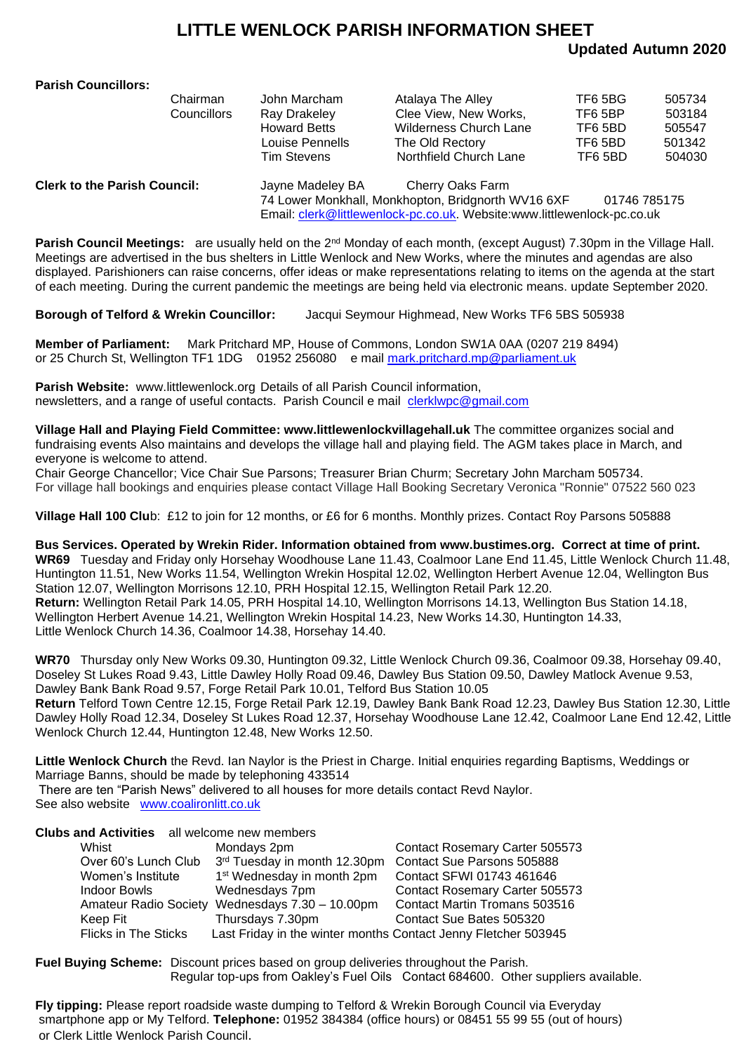## **LITTLE WENLOCK PARISH INFORMATION SHEET**

### **Updated Autumn 2020**

#### **Parish Councillors:**

|                                     | Chairman<br><b>Councillors</b> | John Marcham<br>Ray Drakeley<br><b>Howard Betts</b><br>Louise Pennells<br><b>Tim Stevens</b> | Atalaya The Alley<br>Clee View, New Works,<br><b>Wilderness Church Lane</b><br>The Old Rectory<br>Northfield Church Lane | TF6 5BG<br>TF6 5BP<br>TF6 5BD<br>TF6 5BD<br>TF6 5BD | 505734<br>503184<br>505547<br>501342<br>504030 |
|-------------------------------------|--------------------------------|----------------------------------------------------------------------------------------------|--------------------------------------------------------------------------------------------------------------------------|-----------------------------------------------------|------------------------------------------------|
| <b>Clerk to the Parish Council:</b> |                                | Jayne Madeley BA                                                                             | Cherry Oaks Farm<br>$741$ success Marchine II. Marchine and an Independent MAMAC CVE.                                    | $0.4740$ $700475$                                   |                                                |

74 Lower Monkhall, Monkhopton, Bridgnorth WV16 6XF 01746 785175 Email: [clerk@littlewenlock-pc.co.uk.](mailto:clerk@littlewenlock-pc.co.uk) Website:www.littlewenlock-pc.co.uk

**Parish Council Meetings:** are usually held on the 2<sup>nd</sup> Monday of each month, (except August) 7.30pm in the Village Hall. Meetings are advertised in the bus shelters in Little Wenlock and New Works, where the minutes and agendas are also displayed. Parishioners can raise concerns, offer ideas or make representations relating to items on the agenda at the start of each meeting. During the current pandemic the meetings are being held via electronic means. update September 2020.

**Borough of Telford & Wrekin Councillor:** Jacqui Seymour Highmead, New Works TF6 5BS 505938

**Member of Parliament:** Mark Pritchard MP, House of Commons, London SW1A 0AA (0207 219 8494) or 25 Church St, Wellington TF1 1DG 01952 256080 e mail [mark.pritchard.mp@parliament.uk](mailto:mark.pritchard.mp@parliament.uk)

**Parish Website:** www.littlewenlock.org Details of all Parish Council information, newsletters, and a range of useful contacts. Parish Council e mail [clerklwpc@gmail.com](mailto:clerklwpc@gmail.com)

**Village Hall and Playing Field Committee: www.littlewenlockvillagehall.uk** The committee organizes social and fundraising events Also maintains and develops the village hall and playing field. The AGM takes place in March, and everyone is welcome to attend.

Chair George Chancellor; Vice Chair Sue Parsons; Treasurer Brian Churm; Secretary John Marcham 505734. For village hall bookings and enquiries please contact Village Hall Booking Secretary Veronica "Ronnie" 07522 560 023

**Village Hall 100 Clu**b: £12 to join for 12 months, or £6 for 6 months. Monthly prizes. Contact Roy Parsons 505888

**Bus Services. Operated by Wrekin Rider. Information obtained from www.bustimes.org. Correct at time of print. WR69** Tuesday and Friday only Horsehay Woodhouse Lane 11.43, Coalmoor Lane End 11.45, Little Wenlock Church 11.48, Huntington 11.51, New Works 11.54, Wellington Wrekin Hospital 12.02, Wellington Herbert Avenue 12.04, Wellington Bus Station 12.07, Wellington Morrisons 12.10, PRH Hospital 12.15, Wellington Retail Park 12.20. **Return:** Wellington Retail Park 14.05, PRH Hospital 14.10, Wellington Morrisons 14.13, Wellington Bus Station 14.18, Wellington Herbert Avenue 14.21, Wellington Wrekin Hospital 14.23, New Works 14.30, Huntington 14.33, Little Wenlock Church 14.36, Coalmoor 14.38, Horsehay 14.40.

**WR70** Thursday only New Works 09.30, Huntington 09.32, Little Wenlock Church 09.36, Coalmoor 09.38, Horsehay 09.40, Doseley St Lukes Road 9.43, Little Dawley Holly Road 09.46, Dawley Bus Station 09.50, Dawley Matlock Avenue 9.53, Dawley Bank Bank Road 9.57, Forge Retail Park 10.01, Telford Bus Station 10.05 **Return** Telford Town Centre 12.15, Forge Retail Park 12.19, Dawley Bank Bank Road 12.23, Dawley Bus Station 12.30, Little Dawley Holly Road 12.34, Doseley St Lukes Road 12.37, Horsehay Woodhouse Lane 12.42, Coalmoor Lane End 12.42, Little Wenlock Church 12.44, Huntington 12.48, New Works 12.50.

**Little Wenlock Church** the Revd. Ian Naylor is the Priest in Charge. Initial enquiries regarding Baptisms, Weddings or Marriage Banns, should be made by telephoning 433514 There are ten "Parish News" delivered to all houses for more details contact Revd Naylor.

See also website [www.coalironlitt.co.uk](http://www.coalironlitt.co.uk/)

| <b>Clubs and Activities</b> all welcome new members |                                                                |                                   |  |
|-----------------------------------------------------|----------------------------------------------------------------|-----------------------------------|--|
| Whist                                               | Mondays 2pm                                                    | Contact Rosemary Carter 505573    |  |
| Over 60's Lunch Club                                | 3rd Tuesday in month 12.30pm                                   | <b>Contact Sue Parsons 505888</b> |  |
| Women's Institute                                   | 1 <sup>st</sup> Wednesday in month 2pm                         | Contact SFWI 01743 461646         |  |
| Indoor Bowls                                        | Wednesdays 7pm                                                 | Contact Rosemary Carter 505573    |  |
| <b>Amateur Radio Society</b>                        | Wednesdays $7.30 - 10.00$ pm                                   | Contact Martin Tromans 503516     |  |
| Keep Fit                                            | Thursdays 7.30pm                                               | Contact Sue Bates 505320          |  |
| <b>Flicks in The Sticks</b>                         | Last Friday in the winter months Contact Jenny Fletcher 503945 |                                   |  |
|                                                     |                                                                |                                   |  |

**Fuel Buying Scheme:** Discount prices based on group deliveries throughout the Parish. Regular top-ups from Oakley's Fuel Oils Contact 684600. Other suppliers available.

**Fly tipping:** Please report roadside waste dumping to Telford & Wrekin Borough Council via Everyday smartphone app or My Telford. **Telephone:** 01952 384384 (office hours) or 08451 55 99 55 (out of hours) or Clerk Little Wenlock Parish Council.